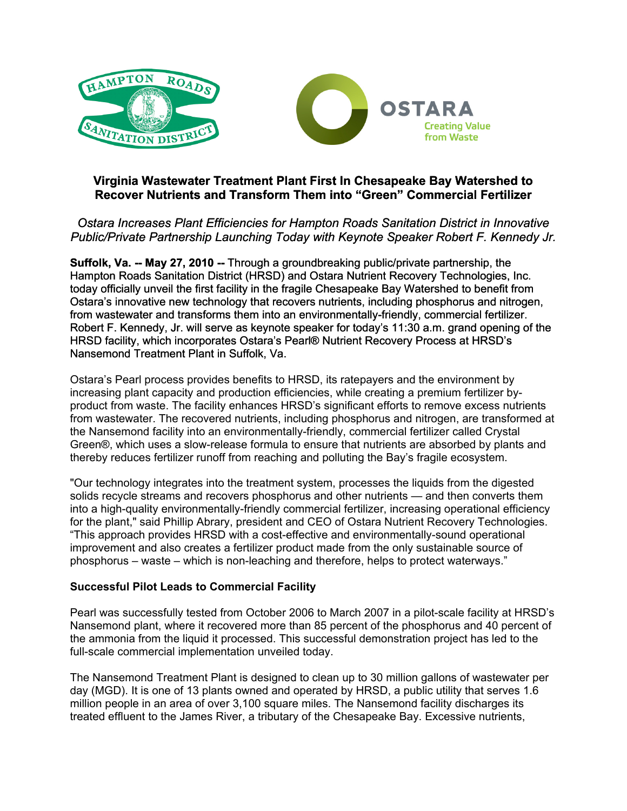

# **Virginia Wastewater Treatment Plant First In Chesapeake Bay Watershed to Recover Nutrients and Transform Them into "Green" Commercial Fertilizer**

*Ostara Increases Plant Efficiencies for Hampton Roads Sanitation District in Innovative Public/Private Partnership Launching Today with Keynote Speaker Robert F. Kennedy Jr.* 

**Suffolk, Va. -- May 27, 2010 --** Through a groundbreaking public/private partnership, the Hampton Roads Sanitation District (HRSD) and Ostara Nutrient Recovery Technologies, Inc. today officially unveil the first facility in the fragile Chesapeake Bay Watershed to benefit from Ostara's innovative new technology that recovers nutrients, including phosphorus and nitrogen, from wastewater and transforms them into an environmentally-friendly, commercial fertilizer. Robert F. Kennedy, Jr. will serve as keynote speaker for today's 11:30 a.m. grand opening of the HRSD facility, which incorporates Ostara's Pearl® Nutrient Recovery Process at HRSD's Nansemond Treatment Plant in Suffolk, Va.

Ostara's Pearl process provides benefits to HRSD, its ratepayers and the environment by increasing plant capacity and production efficiencies, while creating a premium fertilizer byproduct from waste. The facility enhances HRSD's significant efforts to remove excess nutrients from wastewater. The recovered nutrients, including phosphorus and nitrogen, are transformed at the Nansemond facility into an environmentally-friendly, commercial fertilizer called Crystal Green®, which uses a slow-release formula to ensure that nutrients are absorbed by plants and thereby reduces fertilizer runoff from reaching and polluting the Bay's fragile ecosystem.

"Our technology integrates into the treatment system, processes the liquids from the digested solids recycle streams and recovers phosphorus and other nutrients — and then converts them into a high-quality environmentally-friendly commercial fertilizer, increasing operational efficiency for the plant," said Phillip Abrary, president and CEO of Ostara Nutrient Recovery Technologies. "This approach provides HRSD with a cost-effective and environmentally-sound operational improvement and also creates a fertilizer product made from the only sustainable source of phosphorus – waste – which is non-leaching and therefore, helps to protect waterways."

### **Successful Pilot Leads to Commercial Facility**

Pearl was successfully tested from October 2006 to March 2007 in a pilot-scale facility at HRSD's Nansemond plant, where it recovered more than 85 percent of the phosphorus and 40 percent of the ammonia from the liquid it processed. This successful demonstration project has led to the full-scale commercial implementation unveiled today.

The Nansemond Treatment Plant is designed to clean up to 30 million gallons of wastewater per day (MGD). It is one of 13 plants owned and operated by HRSD, a public utility that serves 1.6 million people in an area of over 3,100 square miles. The Nansemond facility discharges its treated effluent to the James River, a tributary of the Chesapeake Bay. Excessive nutrients,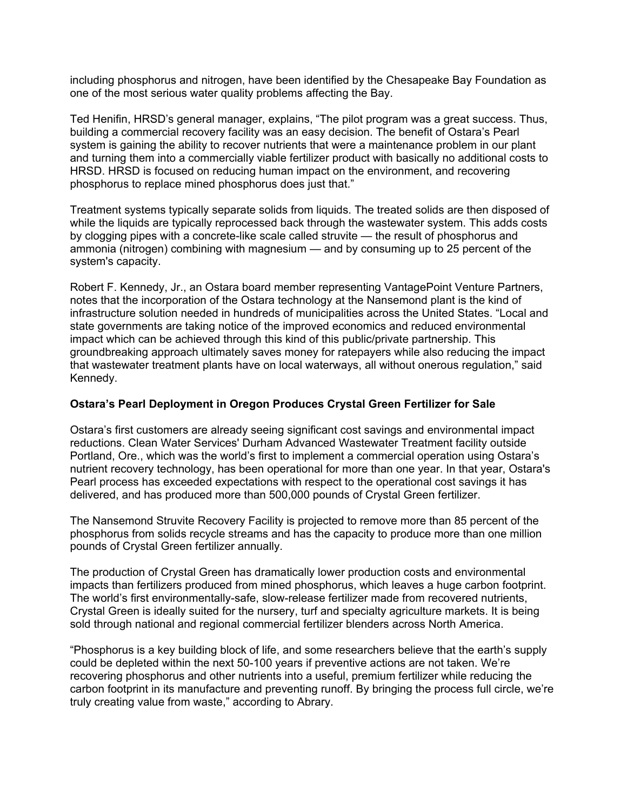including phosphorus and nitrogen, have been identified by the Chesapeake Bay Foundation as one of the most serious water quality problems affecting the Bay.

Ted Henifin, HRSD's general manager, explains, "The pilot program was a great success. Thus, building a commercial recovery facility was an easy decision. The benefit of Ostara's Pearl system is gaining the ability to recover nutrients that were a maintenance problem in our plant and turning them into a commercially viable fertilizer product with basically no additional costs to HRSD. HRSD is focused on reducing human impact on the environment, and recovering phosphorus to replace mined phosphorus does just that."

Treatment systems typically separate solids from liquids. The treated solids are then disposed of while the liquids are typically reprocessed back through the wastewater system. This adds costs by clogging pipes with a concrete-like scale called struvite — the result of phosphorus and ammonia (nitrogen) combining with magnesium — and by consuming up to 25 percent of the system's capacity.

Robert F. Kennedy, Jr., an Ostara board member representing VantagePoint Venture Partners, notes that the incorporation of the Ostara technology at the Nansemond plant is the kind of infrastructure solution needed in hundreds of municipalities across the United States. "Local and state governments are taking notice of the improved economics and reduced environmental impact which can be achieved through this kind of this public/private partnership. This groundbreaking approach ultimately saves money for ratepayers while also reducing the impact that wastewater treatment plants have on local waterways, all without onerous regulation," said Kennedy.

#### **Ostara's Pearl Deployment in Oregon Produces Crystal Green Fertilizer for Sale**

Ostara's first customers are already seeing significant cost savings and environmental impact reductions. Clean Water Services' Durham Advanced Wastewater Treatment facility outside Portland, Ore., which was the world's first to implement a commercial operation using Ostara's nutrient recovery technology, has been operational for more than one year. In that year, Ostara's Pearl process has exceeded expectations with respect to the operational cost savings it has delivered, and has produced more than 500,000 pounds of Crystal Green fertilizer.

The Nansemond Struvite Recovery Facility is projected to remove more than 85 percent of the phosphorus from solids recycle streams and has the capacity to produce more than one million pounds of Crystal Green fertilizer annually.

The production of Crystal Green has dramatically lower production costs and environmental impacts than fertilizers produced from mined phosphorus, which leaves a huge carbon footprint. The world's first environmentally-safe, slow-release fertilizer made from recovered nutrients, Crystal Green is ideally suited for the nursery, turf and specialty agriculture markets. It is being sold through national and regional commercial fertilizer blenders across North America.

"Phosphorus is a key building block of life, and some researchers believe that the earth's supply could be depleted within the next 50-100 years if preventive actions are not taken. We're recovering phosphorus and other nutrients into a useful, premium fertilizer while reducing the carbon footprint in its manufacture and preventing runoff. By bringing the process full circle, we're truly creating value from waste," according to Abrary.